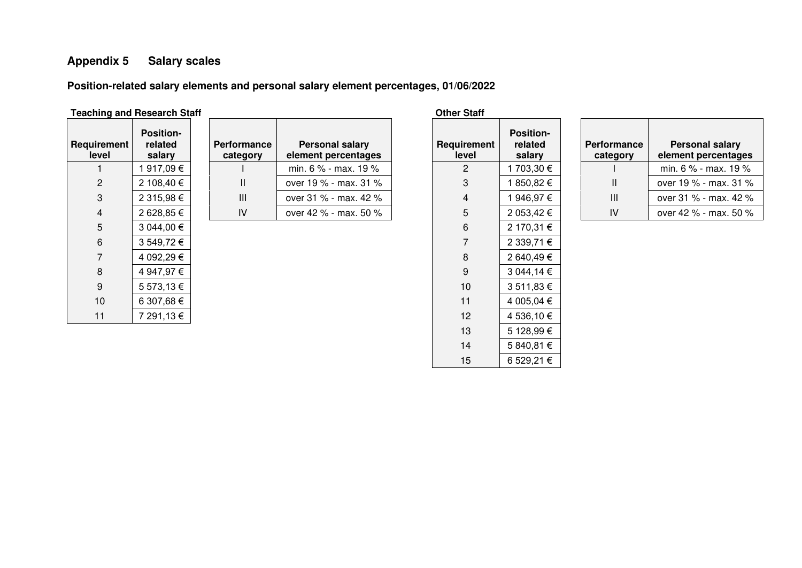## **Appendix 5 Salary scales**

**Position-related salary elements and personal salary element percentages, 01/06/2022** 

## **Teaching and Research Staff Contract 2008 Other Staff Contract 2008 Other Staff**

| Requirement<br>level | <b>Position-</b><br>related<br>salary | <b>Performance</b><br>category | <b>Personal salary</b><br>element percentages | Requirement<br>level | <b>Position-</b><br>related<br>salary |
|----------------------|---------------------------------------|--------------------------------|-----------------------------------------------|----------------------|---------------------------------------|
|                      | 1 917,09 €                            |                                | min. $6\%$ - max. 19 %                        | $\overline{2}$       | 1 703,30 €                            |
| 2                    | 2 108,40 €                            | Ш                              | over 19 % - max. 31 %                         | 3                    | 1850,82€                              |
| 3                    | 2 315,98 €                            | Ш                              | over 31 % - max. 42 %                         | 4                    | 1 946,97 €                            |
| 4                    | 2 628,85 €                            | IV                             | over 42 % - max. 50 %                         | 5                    | 2 053,42 €                            |
| 5                    | 3 044,00 €                            |                                |                                               | 6                    | 2 170,31 €                            |
| 6                    | 3 549,72 €                            |                                |                                               |                      | 2 339,71 €                            |
|                      | 4 092,29 €                            |                                |                                               | 8                    | 2 640,49 €                            |
| 8                    | 4 947,97 €                            |                                |                                               | 9                    | 3 044,14 €                            |
| 9                    | 5 573,13 €                            |                                |                                               | 10                   | 3 511,83 €                            |
| 10                   | 6 307,68 €                            |                                |                                               | 11                   | 4 005,04 €                            |
| 11                   | 7 291,13 €                            |                                |                                               | 12                   | 4 536,10 €                            |
|                      |                                       |                                |                                               | $\overline{1}$       | $-$ 100.00 $\sim$                     |

| Requirement<br>level | <b>Position-</b><br>related<br>salary |
|----------------------|---------------------------------------|
| 2                    | 1 703,30 €                            |
| 3                    | 1 850,82 €                            |
| 4                    | 1 946,97 €                            |
| 5                    | 2 053,42 €                            |
| 6                    | 2 170,31 €                            |
| 7                    | 2 339,71 €                            |
| 8                    | 2 640,49 €                            |
| 9                    | 3 044,14 €                            |
| 10                   | 3 511,83 €                            |
| 11                   | 4 005,04 €                            |
| 12                   | 4 536,10 €                            |
| 13                   | 5 128,99 €                            |
| 14                   | 5 840,81 €                            |
| 15                   | 6 529,21 €                            |

| <b>Performance</b><br>category | <b>Personal salary</b><br>element percentages |
|--------------------------------|-----------------------------------------------|
|                                | min. 6 % - max. 19 %                          |
| Ш                              | over 19 % - max. 31 %                         |
| Ш                              | over 31 % - max, 42 %                         |
| I٧                             | over 42 % - max. 50 %                         |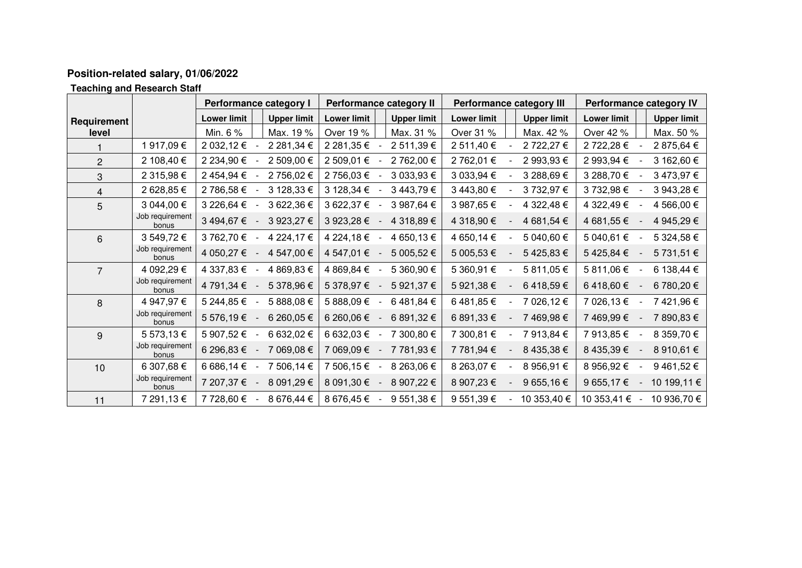## **Position-related salary, 01/06/2022**

**Teaching and Research Staff** 

|                | <b>Performance category I</b> |                    | Performance category II |                    | <b>Performance category III</b> |                    | Performance category IV |                    |                    |
|----------------|-------------------------------|--------------------|-------------------------|--------------------|---------------------------------|--------------------|-------------------------|--------------------|--------------------|
| Requirement    |                               | <b>Lower limit</b> | <b>Upper limit</b>      | <b>Lower limit</b> | <b>Upper limit</b>              | <b>Lower limit</b> | <b>Upper limit</b>      | <b>Lower limit</b> | <b>Upper limit</b> |
| level          |                               | Min. 6 %           | Max. 19 %               | Over 19 %          | Max. 31 %                       | Over 31 %          | Max. 42 %               | Over 42 %          | Max. 50 %          |
|                | 1917,09€                      | 2 032,12 €         | 2 281,34 €              | 2 281,35 €         | 2 511,39 €                      | 2 511,40 €         | 2 722,27 €              | 2 722,28 €         | 2 875,64 €         |
| $\overline{2}$ | 2 108,40 €                    | 2 234,90 €         | 2 509,00 €              | 2 509,01 €         | 2 762,00 €                      | 2 762,01 €         | 2 993,93 €              | 2 993,94 €         | 3 162,60 €         |
| 3              | 2 315,98 €                    | 2 454,94 €         | 2 756,02 €              | 2 756,03 €         | 3 033,93 €                      | 3 033,94 €         | 3 288,69 €              | 3 288,70 €         | 3473,97€           |
| $\overline{4}$ | 2 628,85 €                    | 2 786,58 €         | 3 128,33 €              | 3 128,34 €         | 3 443,79 €                      | 3 443,80 €         | 3 732,97 €              | 3 732,98 €         | 3 943,28 €         |
| 5              | 3 044,00 €                    | 3 226,64 €         | 3 622,36 €              | 3 622,37 €         | 3 987,64 €                      | 3 987,65 €         | 4 322,48 €              | 4 322,49 €         | 4 566,00 €         |
|                | Job requirement<br>bonus      | 3 494,67 €         | 3 923,27 €              | 3 923,28 €         | 4 318,89 €                      | 4 318,90 €         | 4 681,54 €              | 4 681,55 €         | 4 945,29 €         |
| 6              | 3 549,72 €                    | 3 762,70 €         | 4 224,17 €              | 4 224,18 €         | 4 650,13 €                      | 4 650,14 €         | 5 040,60 €              | 5 040,61 €         | 5 324,58 €         |
|                | Job requirement<br>bonus      | 4 050,27 €         | 4 547,00 €              | 4 547,01 €         | 5 005,52 €                      | 5 005,53 €         | 5425,83€                | 5425,84€           | 5 731,51 €         |
| 7              | 4 092,29 €                    | 4 337,83 €         | 4 869,83 €              | 4 869,84 €         | 5 360,90 €                      | 5 360,91 €         | 5 811,05 €              | 5 811,06 €         | 6 138,44 €         |
|                | Job requirement<br>bonus      | 4 791,34 €         | 5 378,96 €              | 5 378,97 €         | 5 921,37 €                      | 5 921,38 €         | 6418,59€                | 6418,60€           | 6 780,20 €         |
| 8              | 4 947,97 €                    | 5 244,85 €         | 5 888,08 €              | 5 888,09 €         | 6 481,84 €                      | 6 481,85 €         | 7 026,12 €              | 7 026,13 €         | 7421,96€           |
|                | Job requirement<br>bonus      | 5 576,19 €         | 6 260,05 €              | 6 260,06 €         | 6 891,32 €                      | 6 891,33 €         | 7 469,98 €              | 7469,99€           | 7 890,83 €         |
| 9              | 5 573,13 €                    | 5 907,52 €         | 6 632,02 €              | 6 632,03 €         | 7 300,80 €                      | 7 300,81 €         | 7 913,84 €              | 7 913,85 €         | 8 359,70 €         |
|                | Job requirement<br>bonus      | 6 296,83 €         | 7 069,08 €              | 7 069,09€          | 7 781,93 €                      | 7 781,94 €         | 8 435,38 €              | 8 435,39 €         | 8 910,61 €         |
| 10             | 6 307,68 €                    | 6 686,14 €         | 7 506,14 €              | 7 506,15 €         | 8 263,06 €                      | 8 263,07 €         | 8 956,91 €              | 8 956,92 €         | 9461,52€           |
|                | Job requirement<br>bonus      | 7 207,37 €         | 8 091,29 €              | 8 091,30 €         | 8 907,22 €                      | 8 907,23 €         | 9 655,16 €              | 9 655,17 €         | 10 199,11 €        |
| 11             | 7 291,13 €                    | 7 728,60 €         | 8 676,44 €              | 8 676,45 €         | 9 551,38 €                      | 9 551,39 €         | 10 353,40 €             | 10 353,41 €        | 10 936,70 €        |